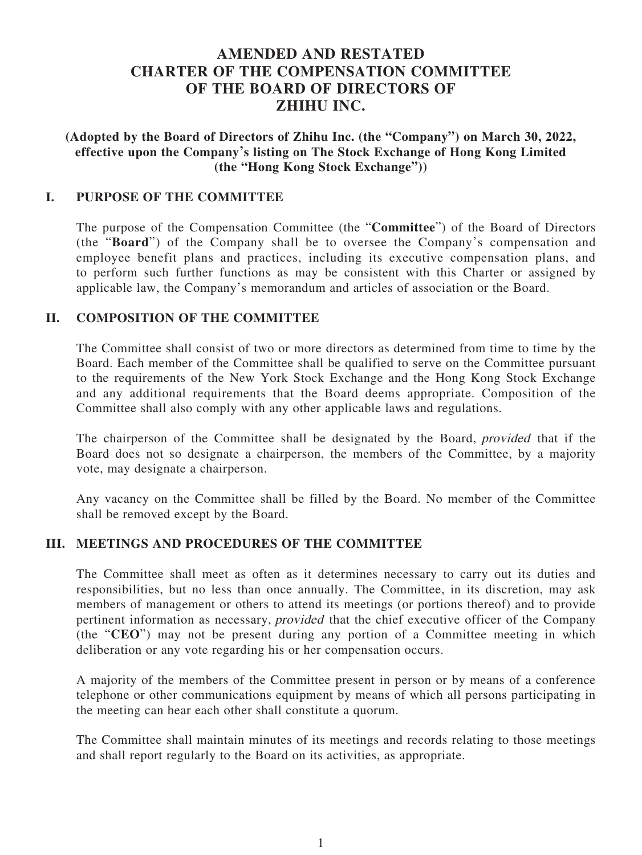# **AMENDED AND RESTATED CHARTER OF THE COMPENSATION COMMITTEE OF THE BOARD OF DIRECTORS OF ZHIHU INC.**

**(Adopted by the Board of Directors of Zhihu Inc. (the "Company") on March 30, 2022, effective upon the Company's listing on The Stock Exchange of Hong Kong Limited (the "Hong Kong Stock Exchange"))**

### **I. PURPOSE OF THE COMMITTEE**

The purpose of the Compensation Committee (the "**Committee**") of the Board of Directors (the "**Board**") of the Company shall be to oversee the Company's compensation and employee benefit plans and practices, including its executive compensation plans, and to perform such further functions as may be consistent with this Charter or assigned by applicable law, the Company's memorandum and articles of association or the Board.

#### **II. COMPOSITION OF THE COMMITTEE**

The Committee shall consist of two or more directors as determined from time to time by the Board. Each member of the Committee shall be qualified to serve on the Committee pursuant to the requirements of the New York Stock Exchange and the Hong Kong Stock Exchange and any additional requirements that the Board deems appropriate. Composition of the Committee shall also comply with any other applicable laws and regulations.

The chairperson of the Committee shall be designated by the Board, provided that if the Board does not so designate a chairperson, the members of the Committee, by a majority vote, may designate a chairperson.

Any vacancy on the Committee shall be filled by the Board. No member of the Committee shall be removed except by the Board.

### **III. MEETINGS AND PROCEDURES OF THE COMMITTEE**

The Committee shall meet as often as it determines necessary to carry out its duties and responsibilities, but no less than once annually. The Committee, in its discretion, may ask members of management or others to attend its meetings (or portions thereof) and to provide pertinent information as necessary, provided that the chief executive officer of the Company (the "**CEO**") may not be present during any portion of a Committee meeting in which deliberation or any vote regarding his or her compensation occurs.

A majority of the members of the Committee present in person or by means of a conference telephone or other communications equipment by means of which all persons participating in the meeting can hear each other shall constitute a quorum.

The Committee shall maintain minutes of its meetings and records relating to those meetings and shall report regularly to the Board on its activities, as appropriate.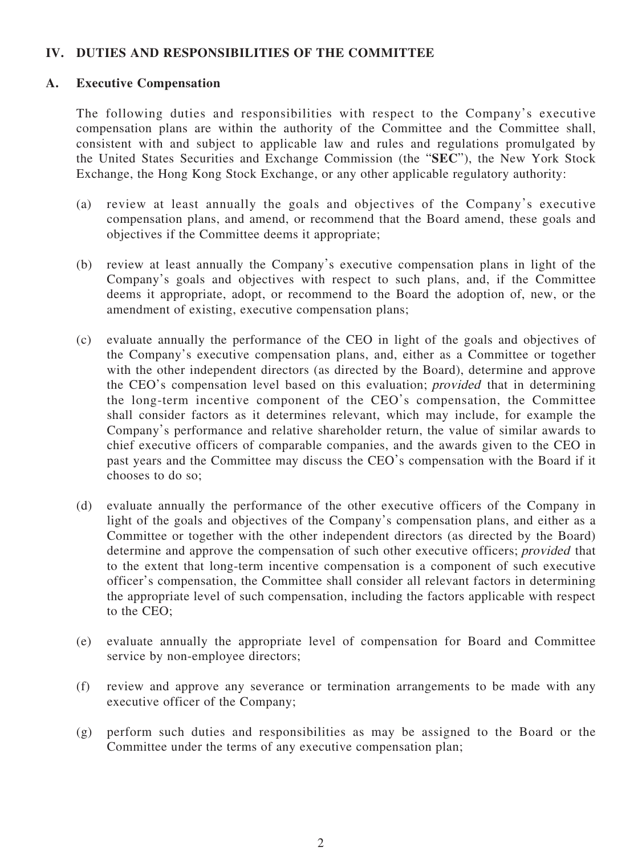## **IV. DUTIES AND RESPONSIBILITIES OF THE COMMITTEE**

### **A. Executive Compensation**

The following duties and responsibilities with respect to the Company's executive compensation plans are within the authority of the Committee and the Committee shall, consistent with and subject to applicable law and rules and regulations promulgated by the United States Securities and Exchange Commission (the "**SEC**"), the New York Stock Exchange, the Hong Kong Stock Exchange, or any other applicable regulatory authority:

- (a) review at least annually the goals and objectives of the Company's executive compensation plans, and amend, or recommend that the Board amend, these goals and objectives if the Committee deems it appropriate;
- (b) review at least annually the Company's executive compensation plans in light of the Company's goals and objectives with respect to such plans, and, if the Committee deems it appropriate, adopt, or recommend to the Board the adoption of, new, or the amendment of existing, executive compensation plans;
- (c) evaluate annually the performance of the CEO in light of the goals and objectives of the Company's executive compensation plans, and, either as a Committee or together with the other independent directors (as directed by the Board), determine and approve the CEO's compensation level based on this evaluation; provided that in determining the long-term incentive component of the CEO's compensation, the Committee shall consider factors as it determines relevant, which may include, for example the Company's performance and relative shareholder return, the value of similar awards to chief executive officers of comparable companies, and the awards given to the CEO in past years and the Committee may discuss the CEO's compensation with the Board if it chooses to do so;
- (d) evaluate annually the performance of the other executive officers of the Company in light of the goals and objectives of the Company's compensation plans, and either as a Committee or together with the other independent directors (as directed by the Board) determine and approve the compensation of such other executive officers; provided that to the extent that long-term incentive compensation is a component of such executive officer's compensation, the Committee shall consider all relevant factors in determining the appropriate level of such compensation, including the factors applicable with respect to the CEO;
- (e) evaluate annually the appropriate level of compensation for Board and Committee service by non-employee directors;
- (f) review and approve any severance or termination arrangements to be made with any executive officer of the Company;
- (g) perform such duties and responsibilities as may be assigned to the Board or the Committee under the terms of any executive compensation plan;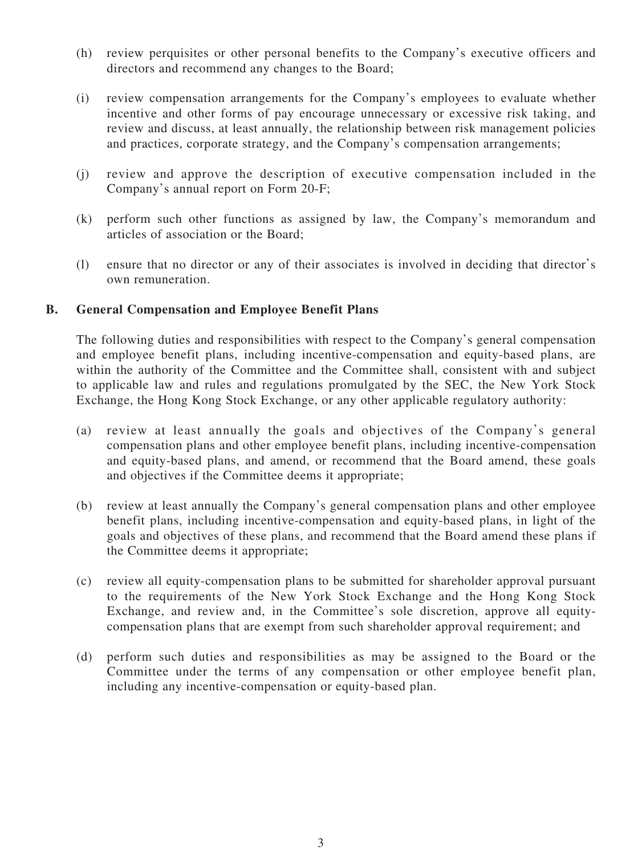- (h) review perquisites or other personal benefits to the Company's executive officers and directors and recommend any changes to the Board;
- (i) review compensation arrangements for the Company's employees to evaluate whether incentive and other forms of pay encourage unnecessary or excessive risk taking, and review and discuss, at least annually, the relationship between risk management policies and practices, corporate strategy, and the Company's compensation arrangements;
- (j) review and approve the description of executive compensation included in the Company's annual report on Form 20-F;
- (k) perform such other functions as assigned by law, the Company's memorandum and articles of association or the Board;
- (l) ensure that no director or any of their associates is involved in deciding that director's own remuneration.

## **B. General Compensation and Employee Benefit Plans**

The following duties and responsibilities with respect to the Company's general compensation and employee benefit plans, including incentive-compensation and equity-based plans, are within the authority of the Committee and the Committee shall, consistent with and subject to applicable law and rules and regulations promulgated by the SEC, the New York Stock Exchange, the Hong Kong Stock Exchange, or any other applicable regulatory authority:

- (a) review at least annually the goals and objectives of the Company's general compensation plans and other employee benefit plans, including incentive-compensation and equity-based plans, and amend, or recommend that the Board amend, these goals and objectives if the Committee deems it appropriate;
- (b) review at least annually the Company's general compensation plans and other employee benefit plans, including incentive-compensation and equity-based plans, in light of the goals and objectives of these plans, and recommend that the Board amend these plans if the Committee deems it appropriate;
- (c) review all equity-compensation plans to be submitted for shareholder approval pursuant to the requirements of the New York Stock Exchange and the Hong Kong Stock Exchange, and review and, in the Committee's sole discretion, approve all equitycompensation plans that are exempt from such shareholder approval requirement; and
- (d) perform such duties and responsibilities as may be assigned to the Board or the Committee under the terms of any compensation or other employee benefit plan, including any incentive-compensation or equity-based plan.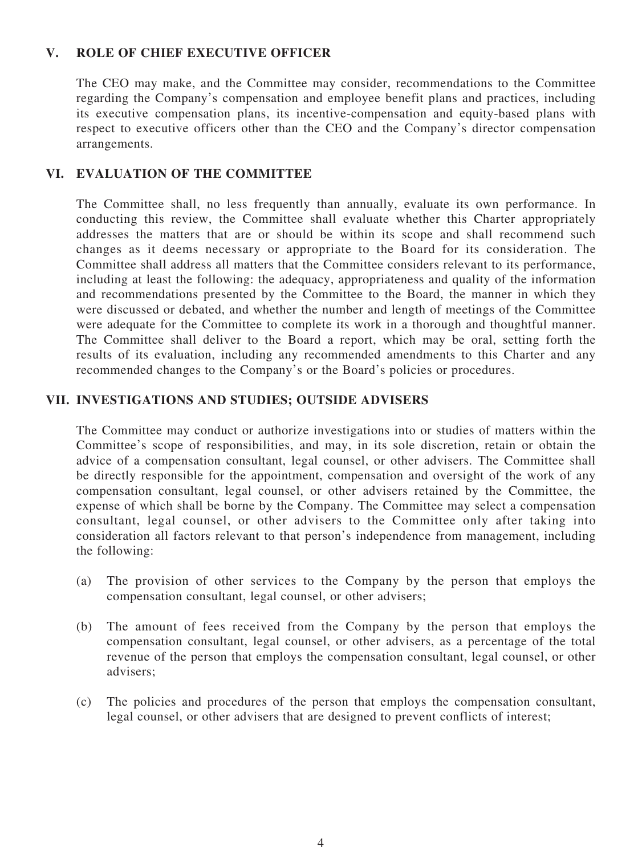## **V. ROLE OF CHIEF EXECUTIVE OFFICER**

The CEO may make, and the Committee may consider, recommendations to the Committee regarding the Company's compensation and employee benefit plans and practices, including its executive compensation plans, its incentive-compensation and equity-based plans with respect to executive officers other than the CEO and the Company's director compensation arrangements.

## **VI. EVALUATION OF THE COMMITTEE**

The Committee shall, no less frequently than annually, evaluate its own performance. In conducting this review, the Committee shall evaluate whether this Charter appropriately addresses the matters that are or should be within its scope and shall recommend such changes as it deems necessary or appropriate to the Board for its consideration. The Committee shall address all matters that the Committee considers relevant to its performance, including at least the following: the adequacy, appropriateness and quality of the information and recommendations presented by the Committee to the Board, the manner in which they were discussed or debated, and whether the number and length of meetings of the Committee were adequate for the Committee to complete its work in a thorough and thoughtful manner. The Committee shall deliver to the Board a report, which may be oral, setting forth the results of its evaluation, including any recommended amendments to this Charter and any recommended changes to the Company's or the Board's policies or procedures.

### **VII. INVESTIGATIONS AND STUDIES; OUTSIDE ADVISERS**

The Committee may conduct or authorize investigations into or studies of matters within the Committee's scope of responsibilities, and may, in its sole discretion, retain or obtain the advice of a compensation consultant, legal counsel, or other advisers. The Committee shall be directly responsible for the appointment, compensation and oversight of the work of any compensation consultant, legal counsel, or other advisers retained by the Committee, the expense of which shall be borne by the Company. The Committee may select a compensation consultant, legal counsel, or other advisers to the Committee only after taking into consideration all factors relevant to that person's independence from management, including the following:

- (a) The provision of other services to the Company by the person that employs the compensation consultant, legal counsel, or other advisers;
- (b) The amount of fees received from the Company by the person that employs the compensation consultant, legal counsel, or other advisers, as a percentage of the total revenue of the person that employs the compensation consultant, legal counsel, or other advisers;
- (c) The policies and procedures of the person that employs the compensation consultant, legal counsel, or other advisers that are designed to prevent conflicts of interest;